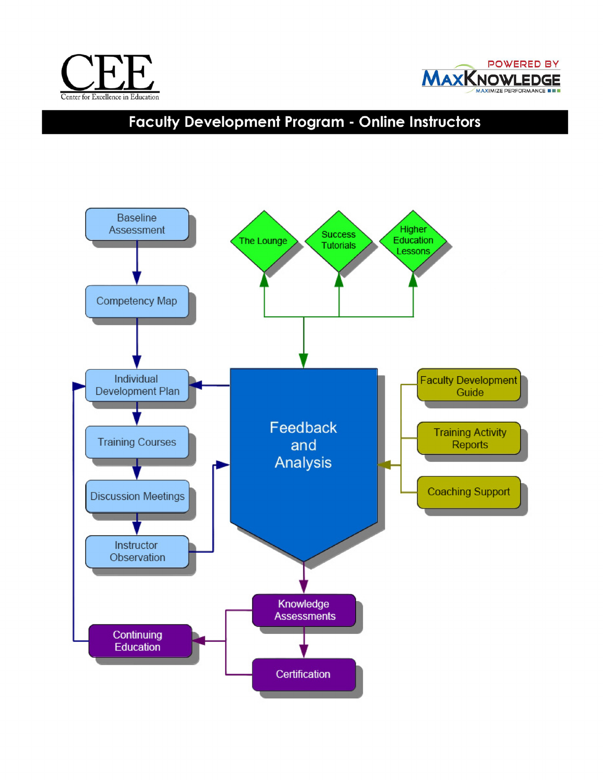



# **Faculty Development Program - Online Instructors**

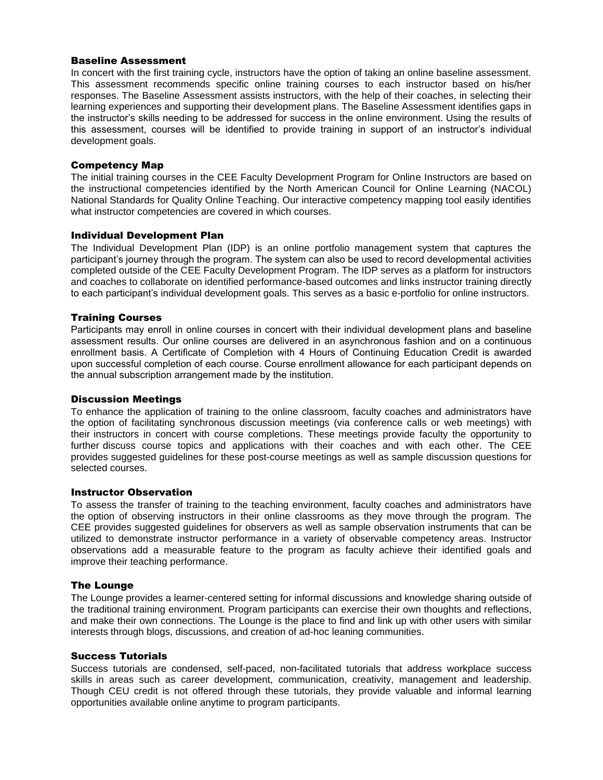## Baseline Assessment

In concert with the first training cycle, instructors have the option of taking an online baseline assessment. This assessment recommends specific online training courses to each instructor based on his/her responses. The Baseline Assessment assists instructors, with the help of their coaches, in selecting their learning experiences and supporting their development plans. The Baseline Assessment identifies gaps in the instructor's skills needing to be addressed for success in the online environment. Using the results of this assessment, courses will be identified to provide training in support of an instructor's individual development goals.

#### Competency Map

The initial training courses in the CEE Faculty Development Program for Online Instructors are based on the instructional competencies identified by the North American Council for Online Learning (NACOL) National Standards for Quality Online Teaching. Our interactive competency mapping tool easily identifies what instructor competencies are covered in which courses.

#### Individual Development Plan

The Individual Development Plan (IDP) is an online portfolio management system that captures the participant's journey through the program. The system can also be used to record developmental activities completed outside of the CEE Faculty Development Program. The IDP serves as a platform for instructors and coaches to collaborate on identified performance-based outcomes and links instructor training directly to each participant's individual development goals. This serves as a basic e-portfolio for online instructors.

#### Training Courses

Participants may enroll in online courses in concert with their individual development plans and baseline assessment results. Our online courses are delivered in an asynchronous fashion and on a continuous enrollment basis. A Certificate of Completion with 4 Hours of Continuing Education Credit is awarded upon successful completion of each course. Course enrollment allowance for each participant depends on the annual subscription arrangement made by the institution.

#### Discussion Meetings

To enhance the application of training to the online classroom, faculty coaches and administrators have the option of facilitating synchronous discussion meetings (via conference calls or web meetings) with their instructors in concert with course completions. These meetings provide faculty the opportunity to further discuss course topics and applications with their coaches and with each other. The CEE provides suggested guidelines for these post-course meetings as well as sample discussion questions for selected courses.

#### Instructor Observation

To assess the transfer of training to the teaching environment, faculty coaches and administrators have the option of observing instructors in their online classrooms as they move through the program. The CEE provides suggested guidelines for observers as well as sample observation instruments that can be utilized to demonstrate instructor performance in a variety of observable competency areas. Instructor observations add a measurable feature to the program as faculty achieve their identified goals and improve their teaching performance.

#### The Lounge

The Lounge provides a learner-centered setting for informal discussions and knowledge sharing outside of the traditional training environment. Program participants can exercise their own thoughts and reflections, and make their own connections. The Lounge is the place to find and link up with other users with similar interests through blogs, discussions, and creation of ad-hoc leaning communities.

## Success Tutorials

Success tutorials are condensed, self-paced, non-facilitated tutorials that address workplace success skills in areas such as career development, communication, creativity, management and leadership. Though CEU credit is not offered through these tutorials, they provide valuable and informal learning opportunities available online anytime to program participants.